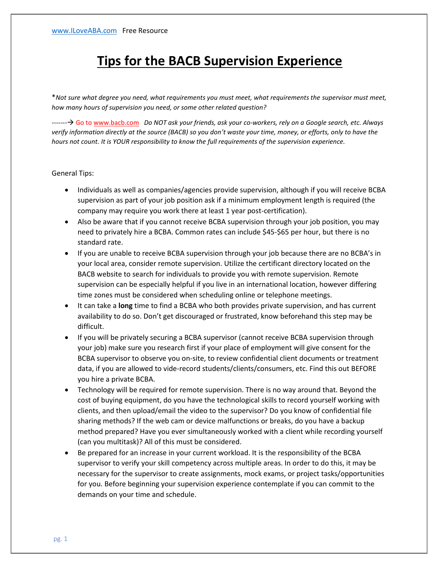## **Tips for the BACB Supervision Experience**

\**Not sure what degree you need, what requirements you must meet, what requirements the supervisor must meet, how many hours of supervision you need, or some other related question?*

------- Go to [www.bacb.com](http://www.bacb.com/) *Do NOT ask your friends, ask your co-workers, rely on a Google search, etc. Always verify information directly at the source (BACB) so you don't waste your time, money, or efforts, only to have the hours not count. It is YOUR responsibility to know the full requirements of the supervision experience.*

## General Tips:

- Individuals as well as companies/agencies provide supervision, although if you will receive BCBA supervision as part of your job position ask if a minimum employment length is required (the company may require you work there at least 1 year post-certification).
- Also be aware that if you cannot receive BCBA supervision through your job position, you may need to privately hire a BCBA. Common rates can include \$45-\$65 per hour, but there is no standard rate.
- If you are unable to receive BCBA supervision through your job because there are no BCBA's in your local area, consider remote supervision. Utilize the certificant directory located on the BACB website to search for individuals to provide you with remote supervision. Remote supervision can be especially helpful if you live in an international location, however differing time zones must be considered when scheduling online or telephone meetings.
- It can take a **long** time to find a BCBA who both provides private supervision, and has current availability to do so. Don't get discouraged or frustrated, know beforehand this step may be difficult.
- If you will be privately securing a BCBA supervisor (cannot receive BCBA supervision through your job) make sure you research first if your place of employment will give consent for the BCBA supervisor to observe you on-site, to review confidential client documents or treatment data, if you are allowed to vide-record students/clients/consumers, etc. Find this out BEFORE you hire a private BCBA.
- Technology will be required for remote supervision. There is no way around that. Beyond the cost of buying equipment, do you have the technological skills to record yourself working with clients, and then upload/email the video to the supervisor? Do you know of confidential file sharing methods? If the web cam or device malfunctions or breaks, do you have a backup method prepared? Have you ever simultaneously worked with a client while recording yourself (can you multitask)? All of this must be considered.
- Be prepared for an increase in your current workload. It is the responsibility of the BCBA supervisor to verify your skill competency across multiple areas. In order to do this, it may be necessary for the supervisor to create assignments, mock exams, or project tasks/opportunities for you. Before beginning your supervision experience contemplate if you can commit to the demands on your time and schedule.